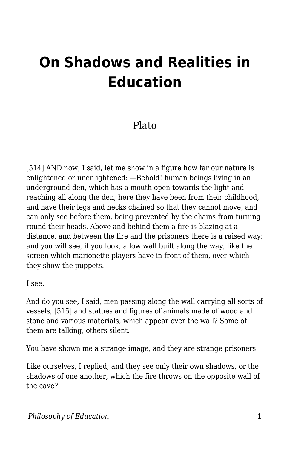## **On Shadows and Realities in Education**

## Plato

[514] AND now, I said, let me show in a figure how far our nature is enlightened or unenlightened: —Behold! human beings living in an underground den, which has a mouth open towards the light and reaching all along the den; here they have been from their childhood, and have their legs and necks chained so that they cannot move, and can only see before them, being prevented by the chains from turning round their heads. Above and behind them a fire is blazing at a distance, and between the fire and the prisoners there is a raised way; and you will see, if you look, a low wall built along the way, like the screen which marionette players have in front of them, over which they show the puppets.

I see.

And do you see, I said, men passing along the wall carrying all sorts of vessels, [515] and statues and figures of animals made of wood and stone and various materials, which appear over the wall? Some of them are talking, others silent.

You have shown me a strange image, and they are strange prisoners.

Like ourselves, I replied; and they see only their own shadows, or the shadows of one another, which the fire throws on the opposite wall of the cave?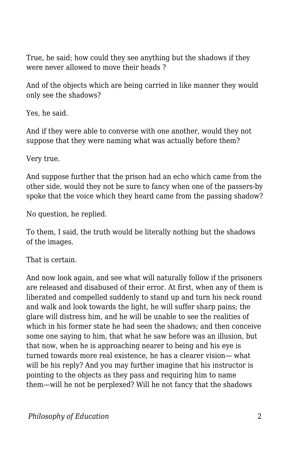True, he said; how could they see anything but the shadows if they were never allowed to move their heads ?

And of the objects which are being carried in like manner they would only see the shadows?

Yes, he said.

And if they were able to converse with one another, would they not suppose that they were naming what was actually before them?

Very true.

And suppose further that the prison had an echo which came from the other side, would they not be sure to fancy when one of the passers-by spoke that the voice which they heard came from the passing shadow?

No question, he replied.

To them, I said, the truth would be literally nothing but the shadows of the images.

That is certain.

And now look again, and see what will naturally follow if the prisoners are released and disabused of their error. At first, when any of them is liberated and compelled suddenly to stand up and turn his neck round and walk and look towards the light, he will suffer sharp pains; the glare will distress him, and he will be unable to see the realities of which in his former state he had seen the shadows; and then conceive some one saying to him, that what he saw before was an illusion, but that now, when he is approaching nearer to being and his eye is turned towards more real existence, he has a clearer vision— what will be his reply? And you may further imagine that his instructor is pointing to the objects as they pass and requiring him to name them—will he not be perplexed? Will he not fancy that the shadows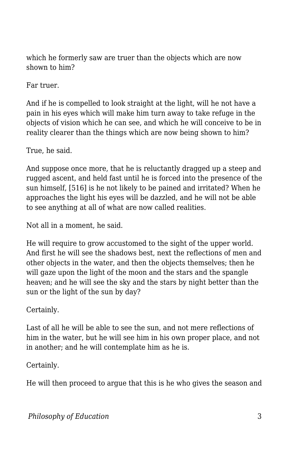which he formerly saw are truer than the objects which are now shown to him?

Far truer.

And if he is compelled to look straight at the light, will he not have a pain in his eyes which will make him turn away to take refuge in the objects of vision which he can see, and which he will conceive to be in reality clearer than the things which are now being shown to him?

True, he said.

And suppose once more, that he is reluctantly dragged up a steep and rugged ascent, and held fast until he is forced into the presence of the sun himself, [516] is he not likely to be pained and irritated? When he approaches the light his eyes will be dazzled, and he will not be able to see anything at all of what are now called realities.

Not all in a moment, he said.

He will require to grow accustomed to the sight of the upper world. And first he will see the shadows best, next the reflections of men and other objects in the water, and then the objects themselves; then he will gaze upon the light of the moon and the stars and the spangle heaven; and he will see the sky and the stars by night better than the sun or the light of the sun by day?

Certainly.

Last of all he will be able to see the sun, and not mere reflections of him in the water, but he will see him in his own proper place, and not in another; and he will contemplate him as he is.

Certainly.

He will then proceed to argue that this is he who gives the season and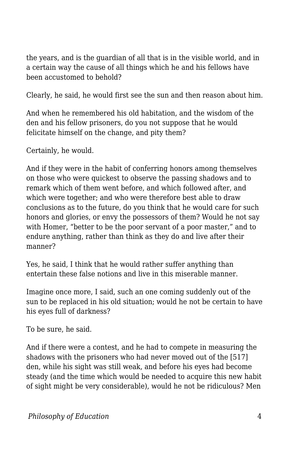the years, and is the guardian of all that is in the visible world, and in a certain way the cause of all things which he and his fellows have been accustomed to behold?

Clearly, he said, he would first see the sun and then reason about him.

And when he remembered his old habitation, and the wisdom of the den and his fellow prisoners, do you not suppose that he would felicitate himself on the change, and pity them?

Certainly, he would.

And if they were in the habit of conferring honors among themselves on those who were quickest to observe the passing shadows and to remark which of them went before, and which followed after, and which were together; and who were therefore best able to draw conclusions as to the future, do you think that he would care for such honors and glories, or envy the possessors of them? Would he not say with Homer, "better to be the poor servant of a poor master," and to endure anything, rather than think as they do and live after their manner?

Yes, he said, I think that he would rather suffer anything than entertain these false notions and live in this miserable manner.

Imagine once more, I said, such an one coming suddenly out of the sun to be replaced in his old situation; would he not be certain to have his eyes full of darkness?

To be sure, he said.

And if there were a contest, and he had to compete in measuring the shadows with the prisoners who had never moved out of the [517] den, while his sight was still weak, and before his eyes had become steady (and the time which would be needed to acquire this new habit of sight might be very considerable), would he not be ridiculous? Men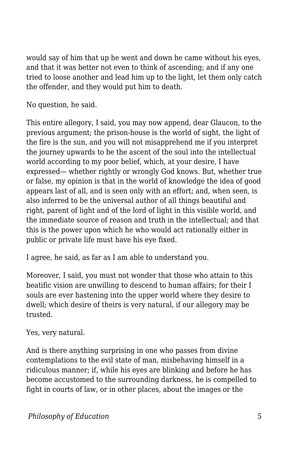would say of him that up he went and down he came without his eyes, and that it was better not even to think of ascending; and if any one tried to loose another and lead him up to the light, let them only catch the offender, and they would put him to death.

No question, he said.

This entire allegory, I said, you may now append, dear Glaucon, to the previous argument; the prison-house is the world of sight, the light of the fire is the sun, and you will not misapprehend me if you interpret the journey upwards to be the ascent of the soul into the intellectual world according to my poor belief, which, at your desire, I have expressed— whether rightly or wrongly God knows. But, whether true or false, my opinion is that in the world of knowledge the idea of good appears last of all, and is seen only with an effort; and, when seen, is also inferred to be the universal author of all things beautiful and right, parent of light and of the lord of light in this visible world, and the immediate source of reason and truth in the intellectual; and that this is the power upon which he who would act rationally either in public or private life must have his eye fixed.

I agree, he said, as far as I am able to understand you.

Moreover, I said, you must not wonder that those who attain to this beatific vision are unwilling to descend to human affairs; for their I souls are ever hastening into the upper world where they desire to dwell; which desire of theirs is very natural, if our allegory may be trusted.

Yes, very natural.

And is there anything surprising in one who passes from divine contemplations to the evil state of man, misbehaving himself in a ridiculous manner; if, while his eyes are blinking and before he has become accustomed to the surrounding darkness, he is compelled to fight in courts of law, or in other places, about the images or the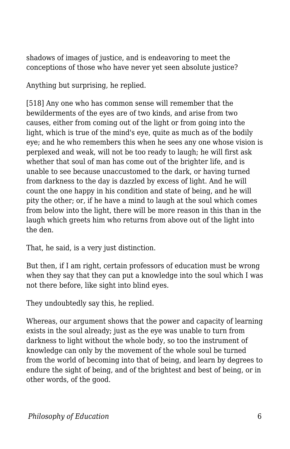shadows of images of justice, and is endeavoring to meet the conceptions of those who have never yet seen absolute justice?

Anything but surprising, he replied.

[518] Any one who has common sense will remember that the bewilderments of the eyes are of two kinds, and arise from two causes, either from coming out of the light or from going into the light, which is true of the mind's eye, quite as much as of the bodily eye; and he who remembers this when he sees any one whose vision is perplexed and weak, will not be too ready to laugh; he will first ask whether that soul of man has come out of the brighter life, and is unable to see because unaccustomed to the dark, or having turned from darkness to the day is dazzled by excess of light. And he will count the one happy in his condition and state of being, and he will pity the other; or, if he have a mind to laugh at the soul which comes from below into the light, there will be more reason in this than in the laugh which greets him who returns from above out of the light into the den.

That, he said, is a very just distinction.

But then, if I am right, certain professors of education must be wrong when they say that they can put a knowledge into the soul which I was not there before, like sight into blind eyes.

They undoubtedly say this, he replied.

Whereas, our argument shows that the power and capacity of learning exists in the soul already; just as the eye was unable to turn from darkness to light without the whole body, so too the instrument of knowledge can only by the movement of the whole soul be turned from the world of becoming into that of being, and learn by degrees to endure the sight of being, and of the brightest and best of being, or in other words, of the good.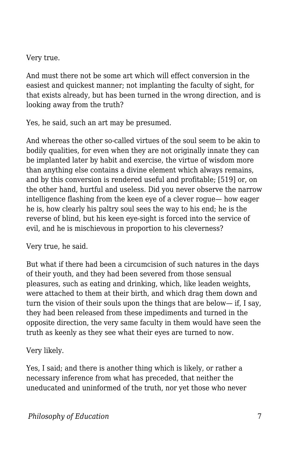Very true.

And must there not be some art which will effect conversion in the easiest and quickest manner; not implanting the faculty of sight, for that exists already, but has been turned in the wrong direction, and is looking away from the truth?

Yes, he said, such an art may be presumed.

And whereas the other so-called virtues of the soul seem to be akin to bodily qualities, for even when they are not originally innate they can be implanted later by habit and exercise, the virtue of wisdom more than anything else contains a divine element which always remains, and by this conversion is rendered useful and profitable; [519] or, on the other hand, hurtful and useless. Did you never observe the narrow intelligence flashing from the keen eye of a clever rogue— how eager he is, how clearly his paltry soul sees the way to his end; he is the reverse of blind, but his keen eye-sight is forced into the service of evil, and he is mischievous in proportion to his cleverness?

Very true, he said.

But what if there had been a circumcision of such natures in the days of their youth, and they had been severed from those sensual pleasures, such as eating and drinking, which, like leaden weights, were attached to them at their birth, and which drag them down and turn the vision of their souls upon the things that are below— if, I say, they had been released from these impediments and turned in the opposite direction, the very same faculty in them would have seen the truth as keenly as they see what their eyes are turned to now.

Very likely.

Yes, I said; and there is another thing which is likely, or rather a necessary inference from what has preceded, that neither the uneducated and uninformed of the truth, nor yet those who never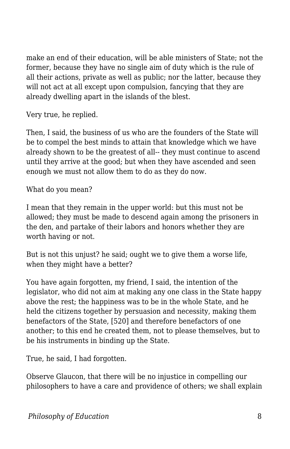make an end of their education, will be able ministers of State; not the former, because they have no single aim of duty which is the rule of all their actions, private as well as public; nor the latter, because they will not act at all except upon compulsion, fancying that they are already dwelling apart in the islands of the blest.

Very true, he replied.

Then, I said, the business of us who are the founders of the State will be to compel the best minds to attain that knowledge which we have already shown to be the greatest of all-- they must continue to ascend until they arrive at the good; but when they have ascended and seen enough we must not allow them to do as they do now.

What do you mean?

I mean that they remain in the upper world: but this must not be allowed; they must be made to descend again among the prisoners in the den, and partake of their labors and honors whether they are worth having or not.

But is not this unjust? he said; ought we to give them a worse life, when they might have a better?

You have again forgotten, my friend, I said, the intention of the legislator, who did not aim at making any one class in the State happy above the rest; the happiness was to be in the whole State, and he held the citizens together by persuasion and necessity, making them benefactors of the State, [520] and therefore benefactors of one another; to this end he created them, not to please themselves, but to be his instruments in binding up the State.

True, he said, I had forgotten.

Observe Glaucon, that there will be no injustice in compelling our philosophers to have a care and providence of others; we shall explain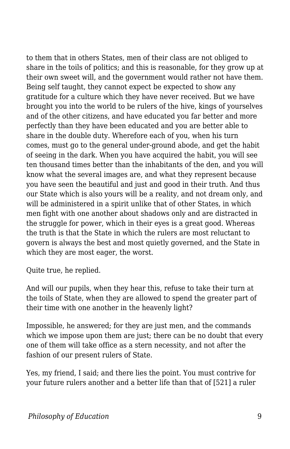to them that in others States, men of their class are not obliged to share in the toils of politics; and this is reasonable, for they grow up at their own sweet will, and the government would rather not have them. Being self taught, they cannot expect be expected to show any gratitude for a culture which they have never received. But we have brought you into the world to be rulers of the hive, kings of yourselves and of the other citizens, and have educated you far better and more perfectly than they have been educated and you are better able to share in the double duty. Wherefore each of you, when his turn comes, must go to the general under-ground abode, and get the habit of seeing in the dark. When you have acquired the habit, you will see ten thousand times better than the inhabitants of the den, and you will know what the several images are, and what they represent because you have seen the beautiful and just and good in their truth. And thus our State which is also yours will be a reality, and not dream only, and will be administered in a spirit unlike that of other States, in which men fight with one another about shadows only and are distracted in the struggle for power, which in their eyes is a great good. Whereas the truth is that the State in which the rulers are most reluctant to govern is always the best and most quietly governed, and the State in which they are most eager, the worst.

Quite true, he replied.

And will our pupils, when they hear this, refuse to take their turn at the toils of State, when they are allowed to spend the greater part of their time with one another in the heavenly light?

Impossible, he answered; for they are just men, and the commands which we impose upon them are just; there can be no doubt that every one of them will take office as a stern necessity, and not after the fashion of our present rulers of State.

Yes, my friend, I said; and there lies the point. You must contrive for your future rulers another and a better life than that of [521] a ruler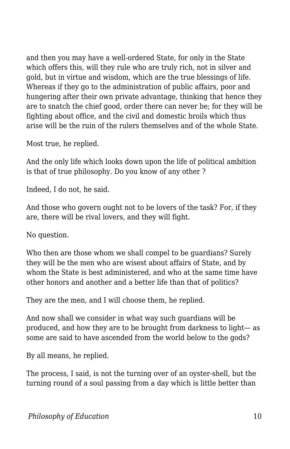and then you may have a well-ordered State, for only in the State which offers this, will they rule who are truly rich, not in silver and gold, but in virtue and wisdom, which are the true blessings of life. Whereas if they go to the administration of public affairs, poor and hungering after their own private advantage, thinking that hence they are to snatch the chief good, order there can never be; for they will be fighting about office, and the civil and domestic broils which thus arise will be the ruin of the rulers themselves and of the whole State.

Most true, he replied.

And the only life which looks down upon the life of political ambition is that of true philosophy. Do you know of any other ?

Indeed, I do not, he said.

And those who govern ought not to be lovers of the task? For, if they are, there will be rival lovers, and they will fight.

No question.

Who then are those whom we shall compel to be guardians? Surely they will be the men who are wisest about affairs of State, and by whom the State is best administered, and who at the same time have other honors and another and a better life than that of politics?

They are the men, and I will choose them, he replied.

And now shall we consider in what way such guardians will be produced, and how they are to be brought from darkness to light— as some are said to have ascended from the world below to the gods?

By all means, he replied.

The process, I said, is not the turning over of an oyster-shell, but the turning round of a soul passing from a day which is little better than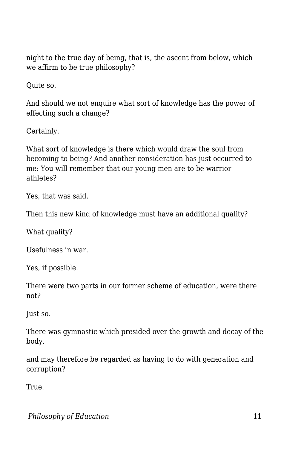night to the true day of being, that is, the ascent from below, which we affirm to be true philosophy?

Quite so.

And should we not enquire what sort of knowledge has the power of effecting such a change?

Certainly.

What sort of knowledge is there which would draw the soul from becoming to being? And another consideration has just occurred to me: You will remember that our young men are to be warrior athletes?

Yes, that was said.

Then this new kind of knowledge must have an additional quality?

What quality?

Usefulness in war.

Yes, if possible.

There were two parts in our former scheme of education, were there not?

Just so.

There was gymnastic which presided over the growth and decay of the body,

and may therefore be regarded as having to do with generation and corruption?

True.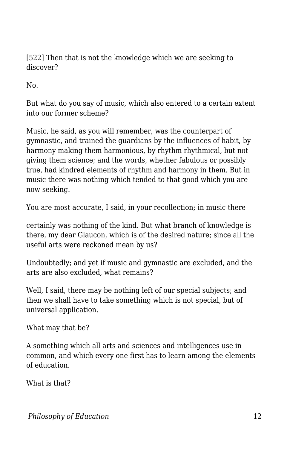[522] Then that is not the knowledge which we are seeking to discover?

No.

But what do you say of music, which also entered to a certain extent into our former scheme?

Music, he said, as you will remember, was the counterpart of gymnastic, and trained the guardians by the influences of habit, by harmony making them harmonious, by rhythm rhythmical, but not giving them science; and the words, whether fabulous or possibly true, had kindred elements of rhythm and harmony in them. But in music there was nothing which tended to that good which you are now seeking.

You are most accurate, I said, in your recollection; in music there

certainly was nothing of the kind. But what branch of knowledge is there, my dear Glaucon, which is of the desired nature; since all the useful arts were reckoned mean by us?

Undoubtedly; and yet if music and gymnastic are excluded, and the arts are also excluded, what remains?

Well, I said, there may be nothing left of our special subjects; and then we shall have to take something which is not special, but of universal application.

What may that be?

A something which all arts and sciences and intelligences use in common, and which every one first has to learn among the elements of education.

What is that?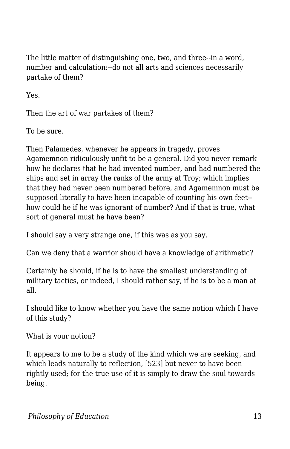The little matter of distinguishing one, two, and three--in a word, number and calculation:--do not all arts and sciences necessarily partake of them?

Yes.

Then the art of war partakes of them?

To be sure.

Then Palamedes, whenever he appears in tragedy, proves Agamemnon ridiculously unfit to be a general. Did you never remark how he declares that he had invented number, and had numbered the ships and set in array the ranks of the army at Troy; which implies that they had never been numbered before, and Agamemnon must be supposed literally to have been incapable of counting his own feet- how could he if he was ignorant of number? And if that is true, what sort of general must he have been?

I should say a very strange one, if this was as you say.

Can we deny that a warrior should have a knowledge of arithmetic?

Certainly he should, if he is to have the smallest understanding of military tactics, or indeed, I should rather say, if he is to be a man at all.

I should like to know whether you have the same notion which I have of this study?

What is your notion?

It appears to me to be a study of the kind which we are seeking, and which leads naturally to reflection, [523] but never to have been rightly used; for the true use of it is simply to draw the soul towards being.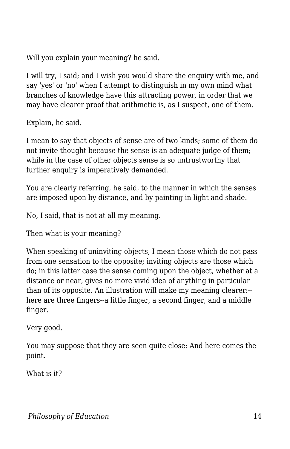Will you explain your meaning? he said.

I will try, I said; and I wish you would share the enquiry with me, and say 'yes' or 'no' when I attempt to distinguish in my own mind what branches of knowledge have this attracting power, in order that we may have clearer proof that arithmetic is, as I suspect, one of them.

Explain, he said.

I mean to say that objects of sense are of two kinds; some of them do not invite thought because the sense is an adequate judge of them; while in the case of other objects sense is so untrustworthy that further enquiry is imperatively demanded.

You are clearly referring, he said, to the manner in which the senses are imposed upon by distance, and by painting in light and shade.

No, I said, that is not at all my meaning.

Then what is your meaning?

When speaking of uninviting objects, I mean those which do not pass from one sensation to the opposite; inviting objects are those which do; in this latter case the sense coming upon the object, whether at a distance or near, gives no more vivid idea of anything in particular than of its opposite. An illustration will make my meaning clearer:- here are three fingers--a little finger, a second finger, and a middle finger.

Very good.

You may suppose that they are seen quite close: And here comes the point.

What is it?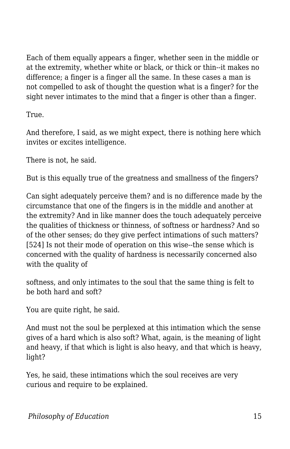Each of them equally appears a finger, whether seen in the middle or at the extremity, whether white or black, or thick or thin--it makes no difference; a finger is a finger all the same. In these cases a man is not compelled to ask of thought the question what is a finger? for the sight never intimates to the mind that a finger is other than a finger.

True.

And therefore, I said, as we might expect, there is nothing here which invites or excites intelligence.

There is not, he said.

But is this equally true of the greatness and smallness of the fingers?

Can sight adequately perceive them? and is no difference made by the circumstance that one of the fingers is in the middle and another at the extremity? And in like manner does the touch adequately perceive the qualities of thickness or thinness, of softness or hardness? And so of the other senses; do they give perfect intimations of such matters? [524] Is not their mode of operation on this wise--the sense which is concerned with the quality of hardness is necessarily concerned also with the quality of

softness, and only intimates to the soul that the same thing is felt to be both hard and soft?

You are quite right, he said.

And must not the soul be perplexed at this intimation which the sense gives of a hard which is also soft? What, again, is the meaning of light and heavy, if that which is light is also heavy, and that which is heavy, light?

Yes, he said, these intimations which the soul receives are very curious and require to be explained.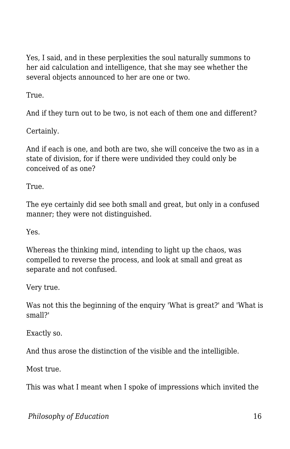Yes, I said, and in these perplexities the soul naturally summons to her aid calculation and intelligence, that she may see whether the several objects announced to her are one or two.

True.

And if they turn out to be two, is not each of them one and different?

Certainly.

And if each is one, and both are two, she will conceive the two as in a state of division, for if there were undivided they could only be conceived of as one?

True.

The eye certainly did see both small and great, but only in a confused manner; they were not distinguished.

Yes.

Whereas the thinking mind, intending to light up the chaos, was compelled to reverse the process, and look at small and great as separate and not confused.

Very true.

Was not this the beginning of the enquiry 'What is great?' and 'What is small?'

Exactly so.

And thus arose the distinction of the visible and the intelligible.

Most true.

This was what I meant when I spoke of impressions which invited the

*Philosophy of Education* 16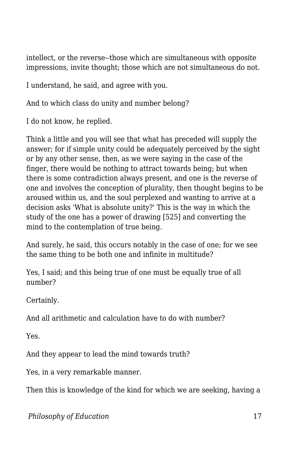intellect, or the reverse--those which are simultaneous with opposite impressions, invite thought; those which are not simultaneous do not.

I understand, he said, and agree with you.

And to which class do unity and number belong?

I do not know, he replied.

Think a little and you will see that what has preceded will supply the answer; for if simple unity could be adequately perceived by the sight or by any other sense, then, as we were saying in the case of the finger, there would be nothing to attract towards being; but when there is some contradiction always present, and one is the reverse of one and involves the conception of plurality, then thought begins to be aroused within us, and the soul perplexed and wanting to arrive at a decision asks 'What is absolute unity?' This is the way in which the study of the one has a power of drawing [525] and converting the mind to the contemplation of true being.

And surely, he said, this occurs notably in the case of one; for we see the same thing to be both one and infinite in multitude?

Yes, I said; and this being true of one must be equally true of all number?

Certainly.

And all arithmetic and calculation have to do with number?

Yes.

And they appear to lead the mind towards truth?

Yes, in a very remarkable manner.

Then this is knowledge of the kind for which we are seeking, having a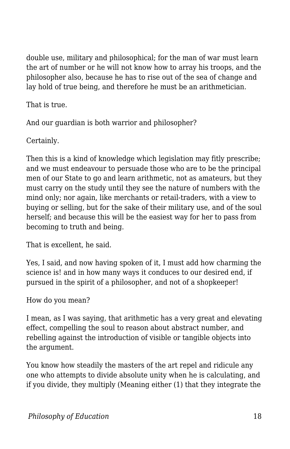double use, military and philosophical; for the man of war must learn the art of number or he will not know how to array his troops, and the philosopher also, because he has to rise out of the sea of change and lay hold of true being, and therefore he must be an arithmetician.

That is true.

And our guardian is both warrior and philosopher?

Certainly.

Then this is a kind of knowledge which legislation may fitly prescribe; and we must endeavour to persuade those who are to be the principal men of our State to go and learn arithmetic, not as amateurs, but they must carry on the study until they see the nature of numbers with the mind only; nor again, like merchants or retail-traders, with a view to buying or selling, but for the sake of their military use, and of the soul herself; and because this will be the easiest way for her to pass from becoming to truth and being.

That is excellent, he said.

Yes, I said, and now having spoken of it, I must add how charming the science is! and in how many ways it conduces to our desired end, if pursued in the spirit of a philosopher, and not of a shopkeeper!

How do you mean?

I mean, as I was saying, that arithmetic has a very great and elevating effect, compelling the soul to reason about abstract number, and rebelling against the introduction of visible or tangible objects into the argument.

You know how steadily the masters of the art repel and ridicule any one who attempts to divide absolute unity when he is calculating, and if you divide, they multiply (Meaning either (1) that they integrate the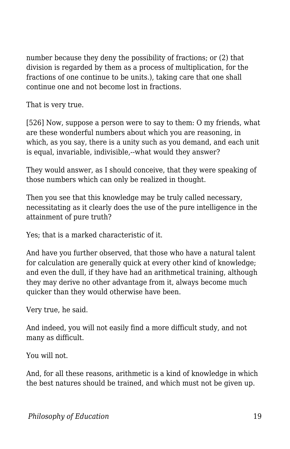number because they deny the possibility of fractions; or (2) that division is regarded by them as a process of multiplication, for the fractions of one continue to be units.), taking care that one shall continue one and not become lost in fractions.

That is very true.

[526] Now, suppose a person were to say to them: O my friends, what are these wonderful numbers about which you are reasoning, in which, as you say, there is a unity such as you demand, and each unit is equal, invariable, indivisible,--what would they answer?

They would answer, as I should conceive, that they were speaking of those numbers which can only be realized in thought.

Then you see that this knowledge may be truly called necessary, necessitating as it clearly does the use of the pure intelligence in the attainment of pure truth?

Yes; that is a marked characteristic of it.

And have you further observed, that those who have a natural talent for calculation are generally quick at every other kind of knowledge; and even the dull, if they have had an arithmetical training, although they may derive no other advantage from it, always become much quicker than they would otherwise have been.

Very true, he said.

And indeed, you will not easily find a more difficult study, and not many as difficult.

You will not.

And, for all these reasons, arithmetic is a kind of knowledge in which the best natures should be trained, and which must not be given up.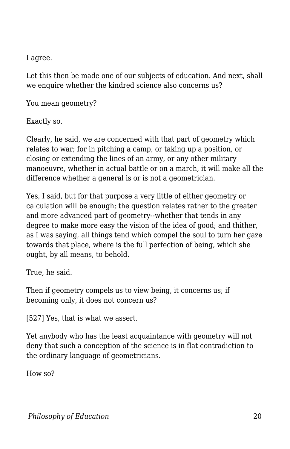I agree.

Let this then be made one of our subjects of education. And next, shall we enquire whether the kindred science also concerns us?

You mean geometry?

Exactly so.

Clearly, he said, we are concerned with that part of geometry which relates to war; for in pitching a camp, or taking up a position, or closing or extending the lines of an army, or any other military manoeuvre, whether in actual battle or on a march, it will make all the difference whether a general is or is not a geometrician.

Yes, I said, but for that purpose a very little of either geometry or calculation will be enough; the question relates rather to the greater and more advanced part of geometry--whether that tends in any degree to make more easy the vision of the idea of good; and thither, as I was saying, all things tend which compel the soul to turn her gaze towards that place, where is the full perfection of being, which she ought, by all means, to behold.

True, he said.

Then if geometry compels us to view being, it concerns us; if becoming only, it does not concern us?

[527] Yes, that is what we assert.

Yet anybody who has the least acquaintance with geometry will not deny that such a conception of the science is in flat contradiction to the ordinary language of geometricians.

How so?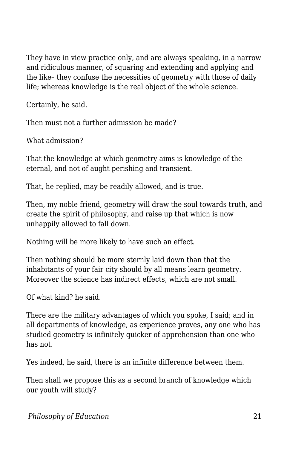They have in view practice only, and are always speaking, in a narrow and ridiculous manner, of squaring and extending and applying and the like– they confuse the necessities of geometry with those of daily life; whereas knowledge is the real object of the whole science.

Certainly, he said.

Then must not a further admission be made?

What admission?

That the knowledge at which geometry aims is knowledge of the eternal, and not of aught perishing and transient.

That, he replied, may be readily allowed, and is true.

Then, my noble friend, geometry will draw the soul towards truth, and create the spirit of philosophy, and raise up that which is now unhappily allowed to fall down.

Nothing will be more likely to have such an effect.

Then nothing should be more sternly laid down than that the inhabitants of your fair city should by all means learn geometry. Moreover the science has indirect effects, which are not small.

Of what kind? he said.

There are the military advantages of which you spoke, I said; and in all departments of knowledge, as experience proves, any one who has studied geometry is infinitely quicker of apprehension than one who has not.

Yes indeed, he said, there is an infinite difference between them.

Then shall we propose this as a second branch of knowledge which our youth will study?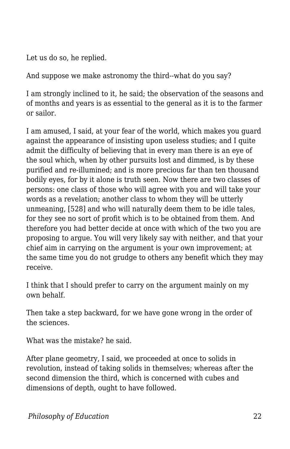Let us do so, he replied.

And suppose we make astronomy the third--what do you say?

I am strongly inclined to it, he said; the observation of the seasons and of months and years is as essential to the general as it is to the farmer or sailor.

I am amused, I said, at your fear of the world, which makes you guard against the appearance of insisting upon useless studies; and I quite admit the difficulty of believing that in every man there is an eye of the soul which, when by other pursuits lost and dimmed, is by these purified and re-illumined; and is more precious far than ten thousand bodily eyes, for by it alone is truth seen. Now there are two classes of persons: one class of those who will agree with you and will take your words as a revelation; another class to whom they will be utterly unmeaning, [528] and who will naturally deem them to be idle tales, for they see no sort of profit which is to be obtained from them. And therefore you had better decide at once with which of the two you are proposing to argue. You will very likely say with neither, and that your chief aim in carrying on the argument is your own improvement; at the same time you do not grudge to others any benefit which they may receive.

I think that I should prefer to carry on the argument mainly on my own behalf.

Then take a step backward, for we have gone wrong in the order of the sciences.

What was the mistake? he said.

After plane geometry, I said, we proceeded at once to solids in revolution, instead of taking solids in themselves; whereas after the second dimension the third, which is concerned with cubes and dimensions of depth, ought to have followed.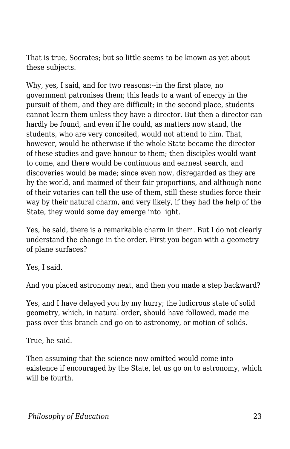That is true, Socrates; but so little seems to be known as yet about these subjects.

Why, yes, I said, and for two reasons:--in the first place, no government patronises them; this leads to a want of energy in the pursuit of them, and they are difficult; in the second place, students cannot learn them unless they have a director. But then a director can hardly be found, and even if he could, as matters now stand, the students, who are very conceited, would not attend to him. That, however, would be otherwise if the whole State became the director of these studies and gave honour to them; then disciples would want to come, and there would be continuous and earnest search, and discoveries would be made; since even now, disregarded as they are by the world, and maimed of their fair proportions, and although none of their votaries can tell the use of them, still these studies force their way by their natural charm, and very likely, if they had the help of the State, they would some day emerge into light.

Yes, he said, there is a remarkable charm in them. But I do not clearly understand the change in the order. First you began with a geometry of plane surfaces?

Yes, I said.

And you placed astronomy next, and then you made a step backward?

Yes, and I have delayed you by my hurry; the ludicrous state of solid geometry, which, in natural order, should have followed, made me pass over this branch and go on to astronomy, or motion of solids.

True, he said.

Then assuming that the science now omitted would come into existence if encouraged by the State, let us go on to astronomy, which will be fourth.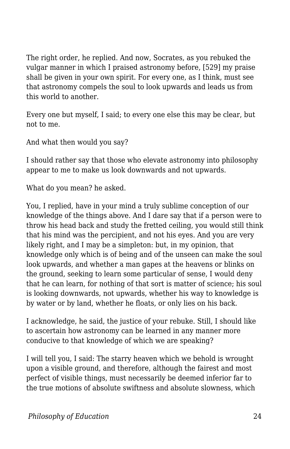The right order, he replied. And now, Socrates, as you rebuked the vulgar manner in which I praised astronomy before, [529] my praise shall be given in your own spirit. For every one, as I think, must see that astronomy compels the soul to look upwards and leads us from this world to another.

Every one but myself, I said; to every one else this may be clear, but not to me.

And what then would you say?

I should rather say that those who elevate astronomy into philosophy appear to me to make us look downwards and not upwards.

What do you mean? he asked.

You, I replied, have in your mind a truly sublime conception of our knowledge of the things above. And I dare say that if a person were to throw his head back and study the fretted ceiling, you would still think that his mind was the percipient, and not his eyes. And you are very likely right, and I may be a simpleton: but, in my opinion, that knowledge only which is of being and of the unseen can make the soul look upwards, and whether a man gapes at the heavens or blinks on the ground, seeking to learn some particular of sense, I would deny that he can learn, for nothing of that sort is matter of science; his soul is looking downwards, not upwards, whether his way to knowledge is by water or by land, whether he floats, or only lies on his back.

I acknowledge, he said, the justice of your rebuke. Still, I should like to ascertain how astronomy can be learned in any manner more conducive to that knowledge of which we are speaking?

I will tell you, I said: The starry heaven which we behold is wrought upon a visible ground, and therefore, although the fairest and most perfect of visible things, must necessarily be deemed inferior far to the true motions of absolute swiftness and absolute slowness, which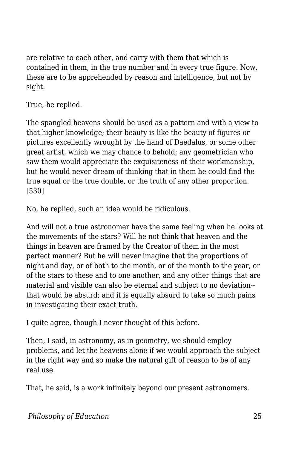are relative to each other, and carry with them that which is contained in them, in the true number and in every true figure. Now, these are to be apprehended by reason and intelligence, but not by sight.

True, he replied.

The spangled heavens should be used as a pattern and with a view to that higher knowledge; their beauty is like the beauty of figures or pictures excellently wrought by the hand of Daedalus, or some other great artist, which we may chance to behold; any geometrician who saw them would appreciate the exquisiteness of their workmanship, but he would never dream of thinking that in them he could find the true equal or the true double, or the truth of any other proportion. [530]

No, he replied, such an idea would be ridiculous.

And will not a true astronomer have the same feeling when he looks at the movements of the stars? Will he not think that heaven and the things in heaven are framed by the Creator of them in the most perfect manner? But he will never imagine that the proportions of night and day, or of both to the month, or of the month to the year, or of the stars to these and to one another, and any other things that are material and visible can also be eternal and subject to no deviation- that would be absurd; and it is equally absurd to take so much pains in investigating their exact truth.

I quite agree, though I never thought of this before.

Then, I said, in astronomy, as in geometry, we should employ problems, and let the heavens alone if we would approach the subject in the right way and so make the natural gift of reason to be of any real use.

That, he said, is a work infinitely beyond our present astronomers.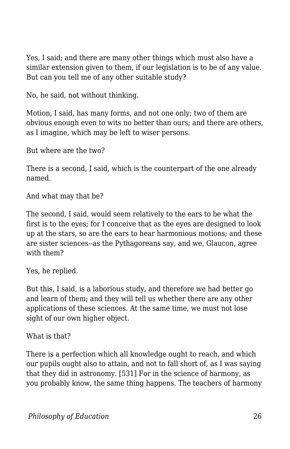Yes, I said; and there are many other things which must also have a similar extension given to them, if our legislation is to be of any value. But can you tell me of any other suitable study?

No, he said, not without thinking.

Motion, I said, has many forms, and not one only; two of them are obvious enough even to wits no better than ours; and there are others, as I imagine, which may be left to wiser persons.

But where are the two?

There is a second, I said, which is the counterpart of the one already named.

And what may that be?

The second, I said, would seem relatively to the ears to be what the first is to the eyes; for I conceive that as the eyes are designed to look up at the stars, so are the ears to hear harmonious motions; and these are sister sciences--as the Pythagoreans say, and we, Glaucon, agree with them?

Yes, he replied.

But this, I said, is a laborious study, and therefore we had better go and learn of them; and they will tell us whether there are any other applications of these sciences. At the same time, we must not lose sight of our own higher object.

What is that?

There is a perfection which all knowledge ought to reach, and which our pupils ought also to attain, and not to fall short of, as I was saying that they did in astronomy. [531] For in the science of harmony, as you probably know, the same thing happens. The teachers of harmony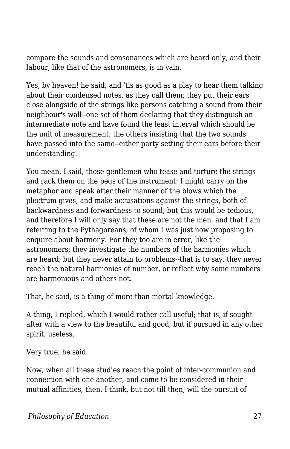compare the sounds and consonances which are heard only, and their labour, like that of the astronomers, is in vain.

Yes, by heaven! he said; and 'tis as good as a play to hear them talking about their condensed notes, as they call them; they put their ears close alongside of the strings like persons catching a sound from their neighbour's wall--one set of them declaring that they distinguish an intermediate note and have found the least interval which should be the unit of measurement; the others insisting that the two sounds have passed into the same--either party setting their ears before their understanding.

You mean, I said, those gentlemen who tease and torture the strings and rack them on the pegs of the instrument: I might carry on the metaphor and speak after their manner of the blows which the plectrum gives, and make accusations against the strings, both of backwardness and forwardness to sound; but this would be tedious, and therefore I will only say that these are not the men, and that I am referring to the Pythagoreans, of whom I was just now proposing to enquire about harmony. For they too are in error, like the astronomers; they investigate the numbers of the harmonies which are heard, but they never attain to problems--that is to say, they never reach the natural harmonies of number, or reflect why some numbers are harmonious and others not.

That, he said, is a thing of more than mortal knowledge.

A thing, I replied, which I would rather call useful; that is, if sought after with a view to the beautiful and good; but if pursued in any other spirit, useless.

Very true, he said.

Now, when all these studies reach the point of inter-communion and connection with one another, and come to be considered in their mutual affinities, then, I think, but not till then, will the pursuit of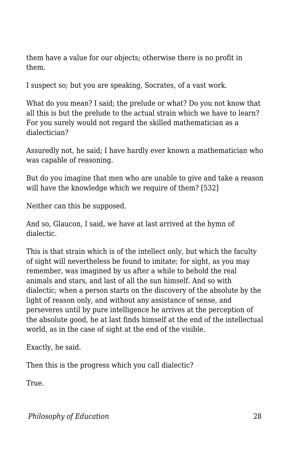them have a value for our objects; otherwise there is no profit in them.

I suspect so; but you are speaking, Socrates, of a vast work.

What do you mean? I said; the prelude or what? Do you not know that all this is but the prelude to the actual strain which we have to learn? For you surely would not regard the skilled mathematician as a dialectician?

Assuredly not, he said; I have hardly ever known a mathematician who was capable of reasoning.

But do you imagine that men who are unable to give and take a reason will have the knowledge which we require of them? [532]

Neither can this be supposed.

And so, Glaucon, I said, we have at last arrived at the hymn of dialectic.

This is that strain which is of the intellect only, but which the faculty of sight will nevertheless be found to imitate; for sight, as you may remember, was imagined by us after a while to behold the real animals and stars, and last of all the sun himself. And so with dialectic; when a person starts on the discovery of the absolute by the light of reason only, and without any assistance of sense, and perseveres until by pure intelligence he arrives at the perception of the absolute good, he at last finds himself at the end of the intellectual world, as in the case of sight at the end of the visible.

Exactly, he said.

Then this is the progress which you call dialectic?

True.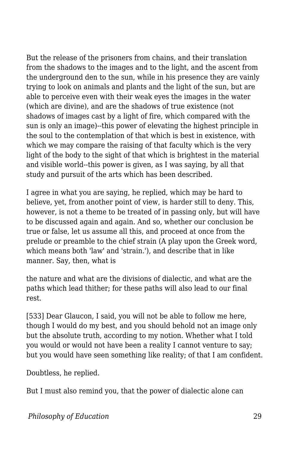But the release of the prisoners from chains, and their translation from the shadows to the images and to the light, and the ascent from the underground den to the sun, while in his presence they are vainly trying to look on animals and plants and the light of the sun, but are able to perceive even with their weak eyes the images in the water (which are divine), and are the shadows of true existence (not shadows of images cast by a light of fire, which compared with the sun is only an image)--this power of elevating the highest principle in the soul to the contemplation of that which is best in existence, with which we may compare the raising of that faculty which is the very light of the body to the sight of that which is brightest in the material and visible world--this power is given, as I was saying, by all that study and pursuit of the arts which has been described.

I agree in what you are saying, he replied, which may be hard to believe, yet, from another point of view, is harder still to deny. This, however, is not a theme to be treated of in passing only, but will have to be discussed again and again. And so, whether our conclusion be true or false, let us assume all this, and proceed at once from the prelude or preamble to the chief strain (A play upon the Greek word, which means both 'law' and 'strain.'), and describe that in like manner. Say, then, what is

the nature and what are the divisions of dialectic, and what are the paths which lead thither; for these paths will also lead to our final rest.

[533] Dear Glaucon, I said, you will not be able to follow me here, though I would do my best, and you should behold not an image only but the absolute truth, according to my notion. Whether what I told you would or would not have been a reality I cannot venture to say; but you would have seen something like reality; of that I am confident.

Doubtless, he replied.

But I must also remind you, that the power of dialectic alone can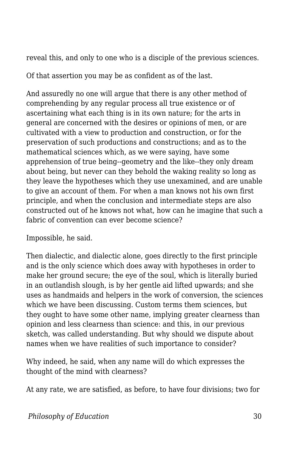reveal this, and only to one who is a disciple of the previous sciences.

Of that assertion you may be as confident as of the last.

And assuredly no one will argue that there is any other method of comprehending by any regular process all true existence or of ascertaining what each thing is in its own nature; for the arts in general are concerned with the desires or opinions of men, or are cultivated with a view to production and construction, or for the preservation of such productions and constructions; and as to the mathematical sciences which, as we were saying, have some apprehension of true being--geometry and the like--they only dream about being, but never can they behold the waking reality so long as they leave the hypotheses which they use unexamined, and are unable to give an account of them. For when a man knows not his own first principle, and when the conclusion and intermediate steps are also constructed out of he knows not what, how can he imagine that such a fabric of convention can ever become science?

Impossible, he said.

Then dialectic, and dialectic alone, goes directly to the first principle and is the only science which does away with hypotheses in order to make her ground secure; the eye of the soul, which is literally buried in an outlandish slough, is by her gentle aid lifted upwards; and she uses as handmaids and helpers in the work of conversion, the sciences which we have been discussing. Custom terms them sciences, but they ought to have some other name, implying greater clearness than opinion and less clearness than science: and this, in our previous sketch, was called understanding. But why should we dispute about names when we have realities of such importance to consider?

Why indeed, he said, when any name will do which expresses the thought of the mind with clearness?

At any rate, we are satisfied, as before, to have four divisions; two for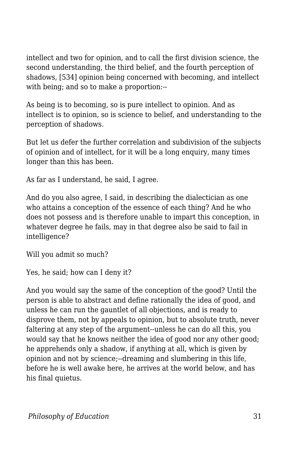intellect and two for opinion, and to call the first division science, the second understanding, the third belief, and the fourth perception of shadows, [534] opinion being concerned with becoming, and intellect with being; and so to make a proportion:--

As being is to becoming, so is pure intellect to opinion. And as intellect is to opinion, so is science to belief, and understanding to the perception of shadows.

But let us defer the further correlation and subdivision of the subjects of opinion and of intellect, for it will be a long enquiry, many times longer than this has been.

As far as I understand, he said, I agree.

And do you also agree, I said, in describing the dialectician as one who attains a conception of the essence of each thing? And he who does not possess and is therefore unable to impart this conception, in whatever degree he fails, may in that degree also be said to fail in intelligence?

Will you admit so much?

Yes, he said; how can I deny it?

And you would say the same of the conception of the good? Until the person is able to abstract and define rationally the idea of good, and unless he can run the gauntlet of all objections, and is ready to disprove them, not by appeals to opinion, but to absolute truth, never faltering at any step of the argument--unless he can do all this, you would say that he knows neither the idea of good nor any other good; he apprehends only a shadow, if anything at all, which is given by opinion and not by science;--dreaming and slumbering in this life, before he is well awake here, he arrives at the world below, and has his final quietus.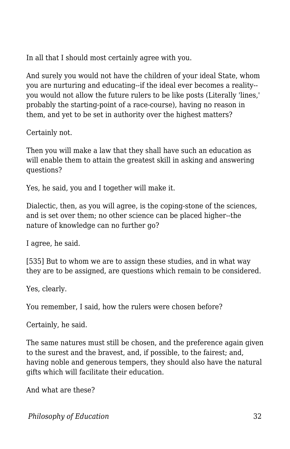In all that I should most certainly agree with you.

And surely you would not have the children of your ideal State, whom you are nurturing and educating--if the ideal ever becomes a reality- you would not allow the future rulers to be like posts (Literally 'lines,' probably the starting-point of a race-course), having no reason in them, and yet to be set in authority over the highest matters?

Certainly not.

Then you will make a law that they shall have such an education as will enable them to attain the greatest skill in asking and answering questions?

Yes, he said, you and I together will make it.

Dialectic, then, as you will agree, is the coping-stone of the sciences, and is set over them; no other science can be placed higher--the nature of knowledge can no further go?

I agree, he said.

[535] But to whom we are to assign these studies, and in what way they are to be assigned, are questions which remain to be considered.

Yes, clearly.

You remember, I said, how the rulers were chosen before?

Certainly, he said.

The same natures must still be chosen, and the preference again given to the surest and the bravest, and, if possible, to the fairest; and, having noble and generous tempers, they should also have the natural gifts which will facilitate their education.

And what are these?

**Philosophy of Education** 32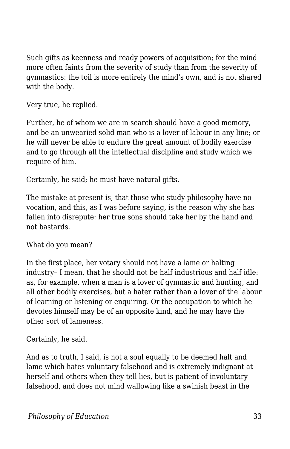Such gifts as keenness and ready powers of acquisition; for the mind more often faints from the severity of study than from the severity of gymnastics: the toil is more entirely the mind's own, and is not shared with the body.

Very true, he replied.

Further, he of whom we are in search should have a good memory, and be an unwearied solid man who is a lover of labour in any line; or he will never be able to endure the great amount of bodily exercise and to go through all the intellectual discipline and study which we require of him.

Certainly, he said; he must have natural gifts.

The mistake at present is, that those who study philosophy have no vocation, and this, as I was before saying, is the reason why she has fallen into disrepute: her true sons should take her by the hand and not bastards.

What do you mean?

In the first place, her votary should not have a lame or halting industry– I mean, that he should not be half industrious and half idle: as, for example, when a man is a lover of gymnastic and hunting, and all other bodily exercises, but a hater rather than a lover of the labour of learning or listening or enquiring. Or the occupation to which he devotes himself may be of an opposite kind, and he may have the other sort of lameness.

Certainly, he said.

And as to truth, I said, is not a soul equally to be deemed halt and lame which hates voluntary falsehood and is extremely indignant at herself and others when they tell lies, but is patient of involuntary falsehood, and does not mind wallowing like a swinish beast in the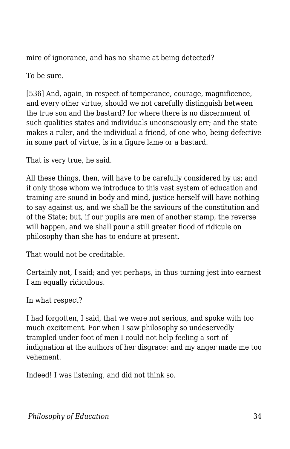mire of ignorance, and has no shame at being detected?

To be sure.

[536] And, again, in respect of temperance, courage, magnificence, and every other virtue, should we not carefully distinguish between the true son and the bastard? for where there is no discernment of such qualities states and individuals unconsciously err; and the state makes a ruler, and the individual a friend, of one who, being defective in some part of virtue, is in a figure lame or a bastard.

That is very true, he said.

All these things, then, will have to be carefully considered by us; and if only those whom we introduce to this vast system of education and training are sound in body and mind, justice herself will have nothing to say against us, and we shall be the saviours of the constitution and of the State; but, if our pupils are men of another stamp, the reverse will happen, and we shall pour a still greater flood of ridicule on philosophy than she has to endure at present.

That would not be creditable.

Certainly not, I said; and yet perhaps, in thus turning jest into earnest I am equally ridiculous.

In what respect?

I had forgotten, I said, that we were not serious, and spoke with too much excitement. For when I saw philosophy so undeservedly trampled under foot of men I could not help feeling a sort of indignation at the authors of her disgrace: and my anger made me too vehement.

Indeed! I was listening, and did not think so.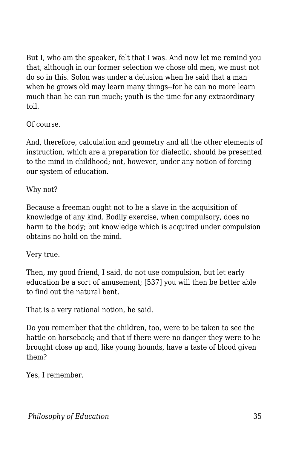But I, who am the speaker, felt that I was. And now let me remind you that, although in our former selection we chose old men, we must not do so in this. Solon was under a delusion when he said that a man when he grows old may learn many things--for he can no more learn much than he can run much; youth is the time for any extraordinary toil.

Of course.

And, therefore, calculation and geometry and all the other elements of instruction, which are a preparation for dialectic, should be presented to the mind in childhood; not, however, under any notion of forcing our system of education.

Why not?

Because a freeman ought not to be a slave in the acquisition of knowledge of any kind. Bodily exercise, when compulsory, does no harm to the body; but knowledge which is acquired under compulsion obtains no hold on the mind.

Very true.

Then, my good friend, I said, do not use compulsion, but let early education be a sort of amusement; [537] you will then be better able to find out the natural bent.

That is a very rational notion, he said.

Do you remember that the children, too, were to be taken to see the battle on horseback; and that if there were no danger they were to be brought close up and, like young hounds, have a taste of blood given them?

Yes, I remember.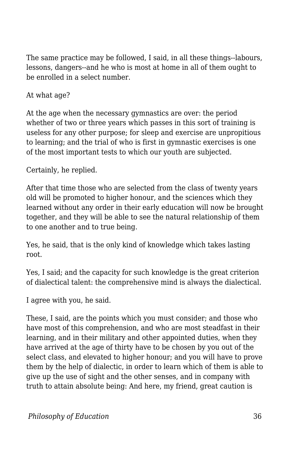The same practice may be followed, I said, in all these things--labours, lessons, dangers--and he who is most at home in all of them ought to be enrolled in a select number.

## At what age?

At the age when the necessary gymnastics are over: the period whether of two or three years which passes in this sort of training is useless for any other purpose; for sleep and exercise are unpropitious to learning; and the trial of who is first in gymnastic exercises is one of the most important tests to which our youth are subjected.

Certainly, he replied.

After that time those who are selected from the class of twenty years old will be promoted to higher honour, and the sciences which they learned without any order in their early education will now be brought together, and they will be able to see the natural relationship of them to one another and to true being.

Yes, he said, that is the only kind of knowledge which takes lasting root.

Yes, I said; and the capacity for such knowledge is the great criterion of dialectical talent: the comprehensive mind is always the dialectical.

I agree with you, he said.

These, I said, are the points which you must consider; and those who have most of this comprehension, and who are most steadfast in their learning, and in their military and other appointed duties, when they have arrived at the age of thirty have to be chosen by you out of the select class, and elevated to higher honour; and you will have to prove them by the help of dialectic, in order to learn which of them is able to give up the use of sight and the other senses, and in company with truth to attain absolute being: And here, my friend, great caution is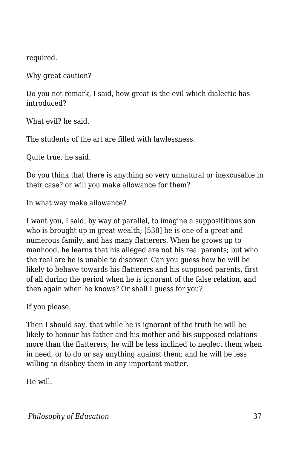required.

Why great caution?

Do you not remark, I said, how great is the evil which dialectic has introduced?

What evil? he said.

The students of the art are filled with lawlessness.

Quite true, he said.

Do you think that there is anything so very unnatural or inexcusable in their case? or will you make allowance for them?

In what way make allowance?

I want you, I said, by way of parallel, to imagine a supposititious son who is brought up in great wealth; [538] he is one of a great and numerous family, and has many flatterers. When he grows up to manhood, he learns that his alleged are not his real parents; but who the real are he is unable to discover. Can you guess how he will be likely to behave towards his flatterers and his supposed parents, first of all during the period when he is ignorant of the false relation, and then again when he knows? Or shall I guess for you?

If you please.

Then I should say, that while he is ignorant of the truth he will be likely to honour his father and his mother and his supposed relations more than the flatterers; he will be less inclined to neglect them when in need, or to do or say anything against them; and he will be less willing to disobey them in any important matter.

He will.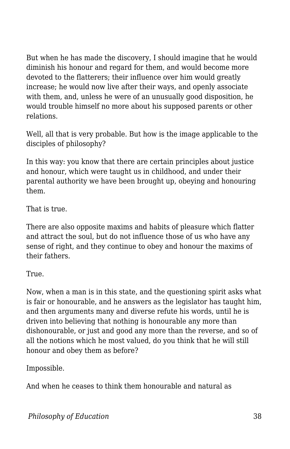But when he has made the discovery, I should imagine that he would diminish his honour and regard for them, and would become more devoted to the flatterers; their influence over him would greatly increase; he would now live after their ways, and openly associate with them, and, unless he were of an unusually good disposition, he would trouble himself no more about his supposed parents or other relations.

Well, all that is very probable. But how is the image applicable to the disciples of philosophy?

In this way: you know that there are certain principles about justice and honour, which were taught us in childhood, and under their parental authority we have been brought up, obeying and honouring them.

That is true.

There are also opposite maxims and habits of pleasure which flatter and attract the soul, but do not influence those of us who have any sense of right, and they continue to obey and honour the maxims of their fathers.

True.

Now, when a man is in this state, and the questioning spirit asks what is fair or honourable, and he answers as the legislator has taught him, and then arguments many and diverse refute his words, until he is driven into believing that nothing is honourable any more than dishonourable, or just and good any more than the reverse, and so of all the notions which he most valued, do you think that he will still honour and obey them as before?

Impossible.

And when he ceases to think them honourable and natural as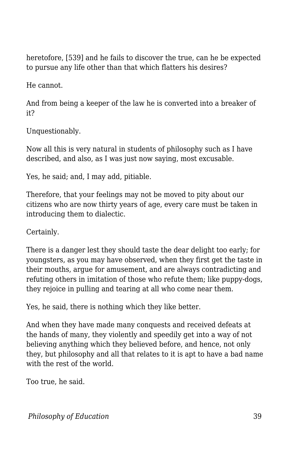heretofore, [539] and he fails to discover the true, can he be expected to pursue any life other than that which flatters his desires?

He cannot.

And from being a keeper of the law he is converted into a breaker of it?

Unquestionably.

Now all this is very natural in students of philosophy such as I have described, and also, as I was just now saying, most excusable.

Yes, he said; and, I may add, pitiable.

Therefore, that your feelings may not be moved to pity about our citizens who are now thirty years of age, every care must be taken in introducing them to dialectic.

Certainly.

There is a danger lest they should taste the dear delight too early; for youngsters, as you may have observed, when they first get the taste in their mouths, argue for amusement, and are always contradicting and refuting others in imitation of those who refute them; like puppy-dogs, they rejoice in pulling and tearing at all who come near them.

Yes, he said, there is nothing which they like better.

And when they have made many conquests and received defeats at the hands of many, they violently and speedily get into a way of not believing anything which they believed before, and hence, not only they, but philosophy and all that relates to it is apt to have a bad name with the rest of the world.

Too true, he said.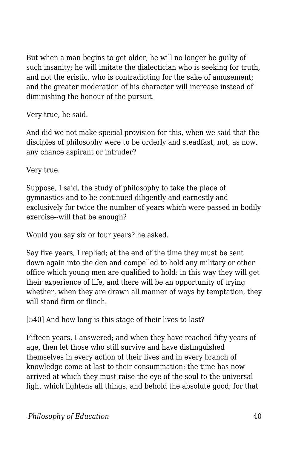But when a man begins to get older, he will no longer be guilty of such insanity; he will imitate the dialectician who is seeking for truth, and not the eristic, who is contradicting for the sake of amusement; and the greater moderation of his character will increase instead of diminishing the honour of the pursuit.

Very true, he said.

And did we not make special provision for this, when we said that the disciples of philosophy were to be orderly and steadfast, not, as now, any chance aspirant or intruder?

Very true.

Suppose, I said, the study of philosophy to take the place of gymnastics and to be continued diligently and earnestly and exclusively for twice the number of years which were passed in bodily exercise--will that be enough?

Would you say six or four years? he asked.

Say five years, I replied; at the end of the time they must be sent down again into the den and compelled to hold any military or other office which young men are qualified to hold: in this way they will get their experience of life, and there will be an opportunity of trying whether, when they are drawn all manner of ways by temptation, they will stand firm or flinch.

[540] And how long is this stage of their lives to last?

Fifteen years, I answered; and when they have reached fifty years of age, then let those who still survive and have distinguished themselves in every action of their lives and in every branch of knowledge come at last to their consummation: the time has now arrived at which they must raise the eye of the soul to the universal light which lightens all things, and behold the absolute good; for that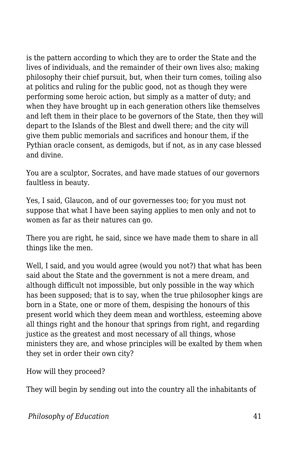is the pattern according to which they are to order the State and the lives of individuals, and the remainder of their own lives also; making philosophy their chief pursuit, but, when their turn comes, toiling also at politics and ruling for the public good, not as though they were performing some heroic action, but simply as a matter of duty; and when they have brought up in each generation others like themselves and left them in their place to be governors of the State, then they will depart to the Islands of the Blest and dwell there; and the city will give them public memorials and sacrifices and honour them, if the Pythian oracle consent, as demigods, but if not, as in any case blessed and divine.

You are a sculptor, Socrates, and have made statues of our governors faultless in beauty.

Yes, I said, Glaucon, and of our governesses too; for you must not suppose that what I have been saying applies to men only and not to women as far as their natures can go.

There you are right, he said, since we have made them to share in all things like the men.

Well, I said, and you would agree (would you not?) that what has been said about the State and the government is not a mere dream, and although difficult not impossible, but only possible in the way which has been supposed; that is to say, when the true philosopher kings are born in a State, one or more of them, despising the honours of this present world which they deem mean and worthless, esteeming above all things right and the honour that springs from right, and regarding justice as the greatest and most necessary of all things, whose ministers they are, and whose principles will be exalted by them when they set in order their own city?

How will they proceed?

They will begin by sending out into the country all the inhabitants of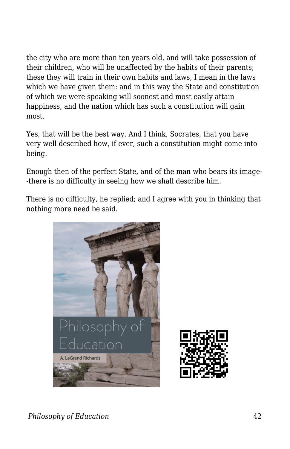the city who are more than ten years old, and will take possession of their children, who will be unaffected by the habits of their parents; these they will train in their own habits and laws, I mean in the laws which we have given them: and in this way the State and constitution of which we were speaking will soonest and most easily attain happiness, and the nation which has such a constitution will gain most.

Yes, that will be the best way. And I think, Socrates, that you have very well described how, if ever, such a constitution might come into being.

Enough then of the perfect State, and of the man who bears its image- -there is no difficulty in seeing how we shall describe him.

There is no difficulty, he replied; and I agree with you in thinking that nothing more need be said.